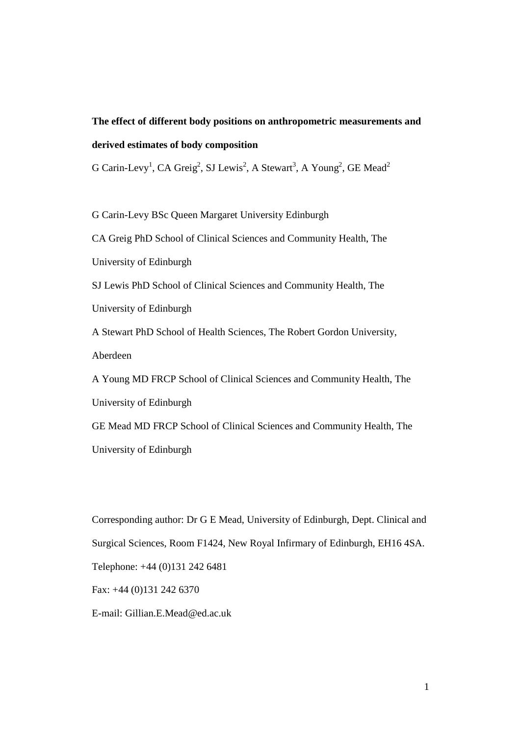# **The effect of different body positions on anthropometric measurements and derived estimates of body composition**

G Carin-Levy<sup>1</sup>, CA Greig<sup>2</sup>, SJ Lewis<sup>2</sup>, A Stewart<sup>3</sup>, A Young<sup>2</sup>, GE Mead<sup>2</sup>

G Carin-Levy BSc Queen Margaret University Edinburgh CA Greig PhD School of Clinical Sciences and Community Health, The University of Edinburgh SJ Lewis PhD School of Clinical Sciences and Community Health, The University of Edinburgh A Stewart PhD School of Health Sciences, The Robert Gordon University, Aberdeen A Young MD FRCP School of Clinical Sciences and Community Health, The University of Edinburgh GE Mead MD FRCP School of Clinical Sciences and Community Health, The University of Edinburgh

Corresponding author: Dr G E Mead, University of Edinburgh, Dept. Clinical and Surgical Sciences, Room F1424, New Royal Infirmary of Edinburgh, EH16 4SA. Telephone: +44 (0)131 242 6481 Fax: +44 (0)131 242 6370

E-mail: Gillian.E.Mead@ed.ac.uk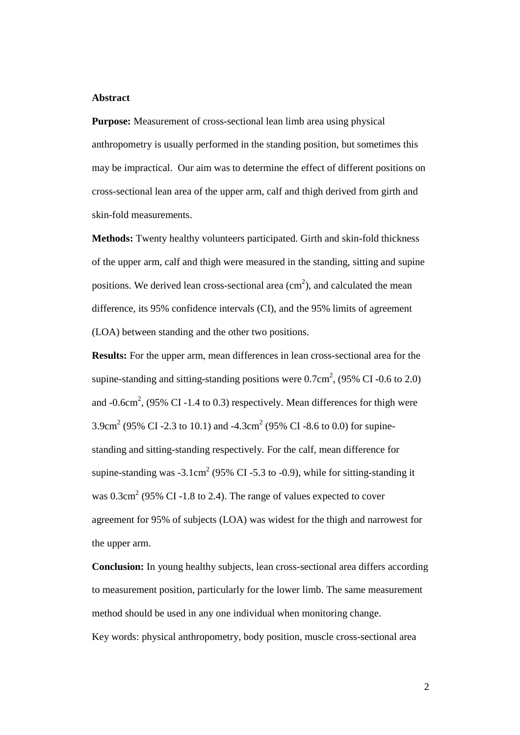#### **Abstract**

**Purpose:** Measurement of cross-sectional lean limb area using physical anthropometry is usually performed in the standing position, but sometimes this may be impractical. Our aim was to determine the effect of different positions on cross-sectional lean area of the upper arm, calf and thigh derived from girth and skin-fold measurements.

**Methods:** Twenty healthy volunteers participated. Girth and skin-fold thickness of the upper arm, calf and thigh were measured in the standing, sitting and supine positions. We derived lean cross-sectional area  $(cm<sup>2</sup>)$ , and calculated the mean difference, its 95% confidence intervals (CI), and the 95% limits of agreement (LOA) between standing and the other two positions.

**Results:** For the upper arm, mean differences in lean cross-sectional area for the supine-standing and sitting-standing positions were  $0.7 \text{cm}^2$ , (95% CI-0.6 to 2.0) and  $-0.6$ cm<sup>2</sup>, (95% CI  $-1.4$  to 0.3) respectively. Mean differences for thigh were 3.9cm<sup>2</sup> (95% CI -2.3 to 10.1) and -4.3cm<sup>2</sup> (95% CI -8.6 to 0.0) for supinestanding and sitting-standing respectively. For the calf, mean difference for supine-standing was  $-3.1 \text{cm}^2$  (95% CI  $-5.3$  to  $-0.9$ ), while for sitting-standing it was  $0.3 \text{cm}^2$  (95% CI-1.8 to 2.4). The range of values expected to cover agreement for 95% of subjects (LOA) was widest for the thigh and narrowest for the upper arm.

**Conclusion:** In young healthy subjects, lean cross-sectional area differs according to measurement position, particularly for the lower limb. The same measurement method should be used in any one individual when monitoring change.

Key words: physical anthropometry, body position, muscle cross-sectional area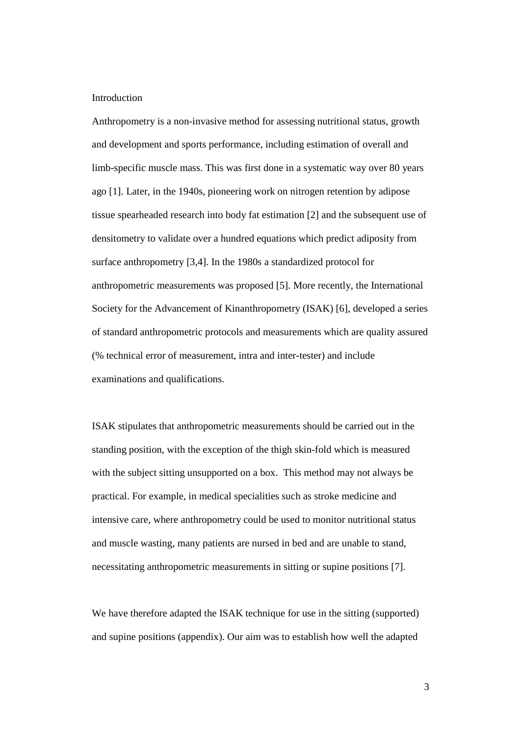#### **Introduction**

Anthropometry is a non-invasive method for assessing nutritional status, growth and development and sports performance, including estimation of overall and limb-specific muscle mass. This was first done in a systematic way over 80 years ago [1]. Later, in the 1940s, pioneering work on nitrogen retention by adipose tissue spearheaded research into body fat estimation [2] and the subsequent use of densitometry to validate over a hundred equations which predict adiposity from surface anthropometry [3,4]. In the 1980s a standardized protocol for anthropometric measurements was proposed [5]. More recently, the International Society for the Advancement of Kinanthropometry (ISAK) [6], developed a series of standard anthropometric protocols and measurements which are quality assured (% technical error of measurement, intra and inter-tester) and include examinations and qualifications.

ISAK stipulates that anthropometric measurements should be carried out in the standing position, with the exception of the thigh skin-fold which is measured with the subject sitting unsupported on a box. This method may not always be practical. For example, in medical specialities such as stroke medicine and intensive care, where anthropometry could be used to monitor nutritional status and muscle wasting, many patients are nursed in bed and are unable to stand, necessitating anthropometric measurements in sitting or supine positions [7].

We have therefore adapted the ISAK technique for use in the sitting (supported) and supine positions (appendix). Our aim was to establish how well the adapted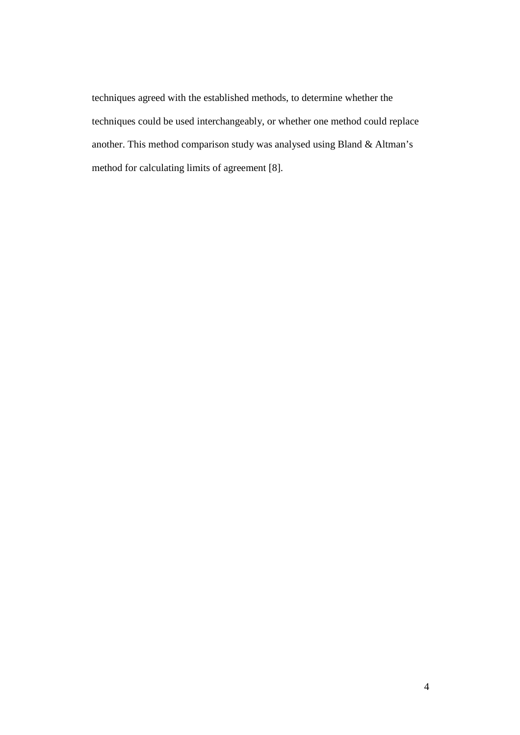techniques agreed with the established methods, to determine whether the techniques could be used interchangeably, or whether one method could replace another. This method comparison study was analysed using Bland & Altman's method for calculating limits of agreement [8].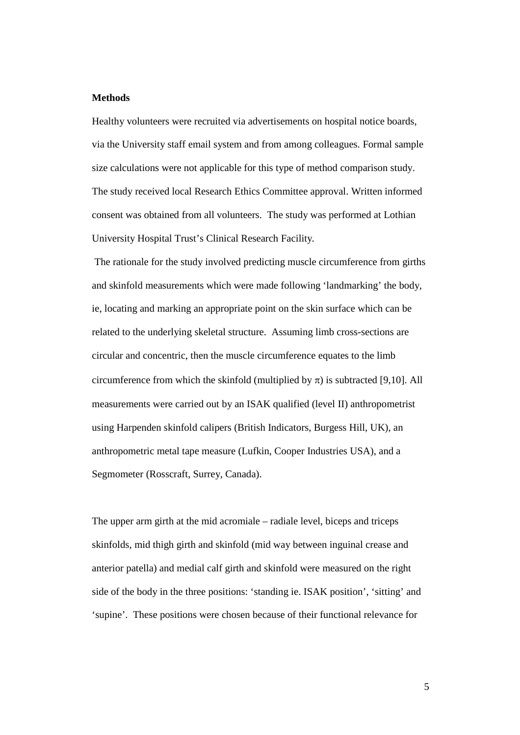#### **Methods**

Healthy volunteers were recruited via advertisements on hospital notice boards, via the University staff email system and from among colleagues. Formal sample size calculations were not applicable for this type of method comparison study. The study received local Research Ethics Committee approval. Written informed consent was obtained from all volunteers. The study was performed at Lothian University Hospital Trust's Clinical Research Facility*.* 

 The rationale for the study involved predicting muscle circumference from girths and skinfold measurements which were made following 'landmarking' the body, ie, locating and marking an appropriate point on the skin surface which can be related to the underlying skeletal structure. Assuming limb cross-sections are circular and concentric, then the muscle circumference equates to the limb circumference from which the skinfold (multiplied by  $\pi$ ) is subtracted [9,10]. All measurements were carried out by an ISAK qualified (level II) anthropometrist using Harpenden skinfold calipers (British Indicators, Burgess Hill, UK), an anthropometric metal tape measure (Lufkin, Cooper Industries USA), and a Segmometer (Rosscraft, Surrey, Canada).

The upper arm girth at the mid acromiale – radiale level, biceps and triceps skinfolds, mid thigh girth and skinfold (mid way between inguinal crease and anterior patella) and medial calf girth and skinfold were measured on the right side of the body in the three positions: 'standing ie. ISAK position', 'sitting' and 'supine'. These positions were chosen because of their functional relevance for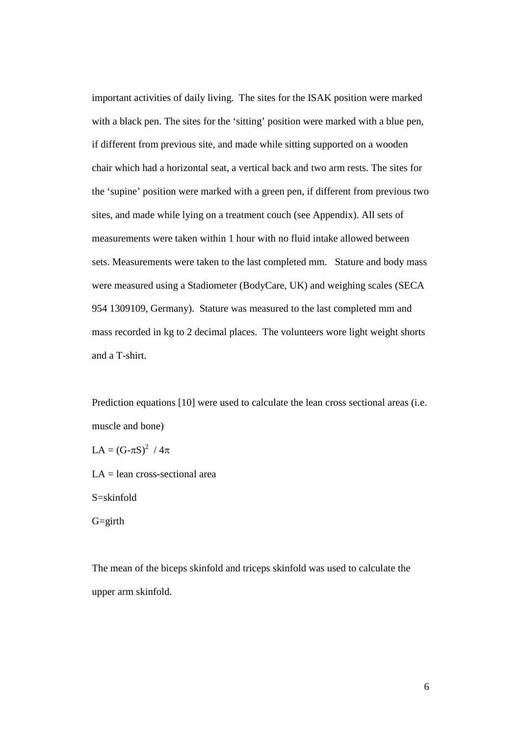important activities of daily living. The sites for the ISAK position were marked with a black pen. The sites for the 'sitting' position were marked with a blue pen, if different from previous site, and made while sitting supported on a wooden chair which had a horizontal seat, a vertical back and two arm rests. The sites for the 'supine' position were marked with a green pen, if different from previous two sites, and made while lying on a treatment couch (see Appendix). All sets of measurements were taken within 1 hour with no fluid intake allowed between sets. Measurements were taken to the last completed mm. Stature and body mass were measured using a Stadiometer (BodyCare, UK) and weighing scales (SECA 954 1309109, Germany). Stature was measured to the last completed mm and mass recorded in kg to 2 decimal places. The volunteers wore light weight shorts and a T-shirt.

Prediction equations [10] were used to calculate the lean cross sectional areas (i.e. muscle and bone)

LA =  $(G-\pi S)^2 / 4\pi$ 

LA = lean cross-sectional area

S=skinfold

G=girth

The mean of the biceps skinfold and triceps skinfold was used to calculate the upper arm skinfold.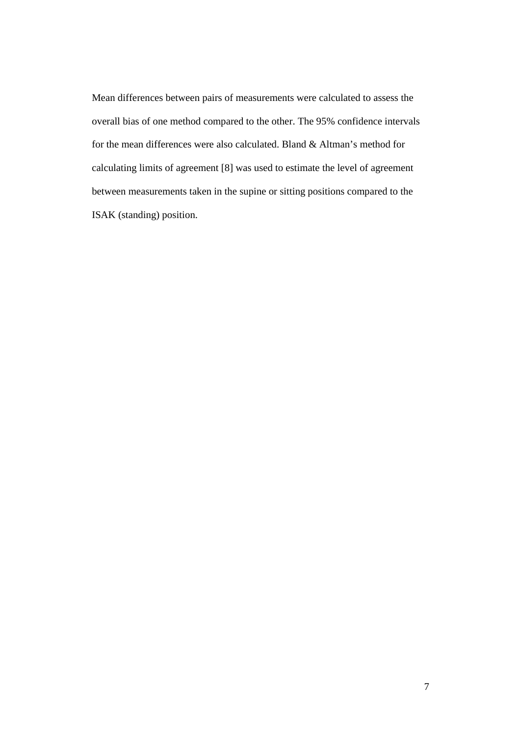Mean differences between pairs of measurements were calculated to assess the overall bias of one method compared to the other. The 95% confidence intervals for the mean differences were also calculated. Bland & Altman's method for calculating limits of agreement [8] was used to estimate the level of agreement between measurements taken in the supine or sitting positions compared to the ISAK (standing) position.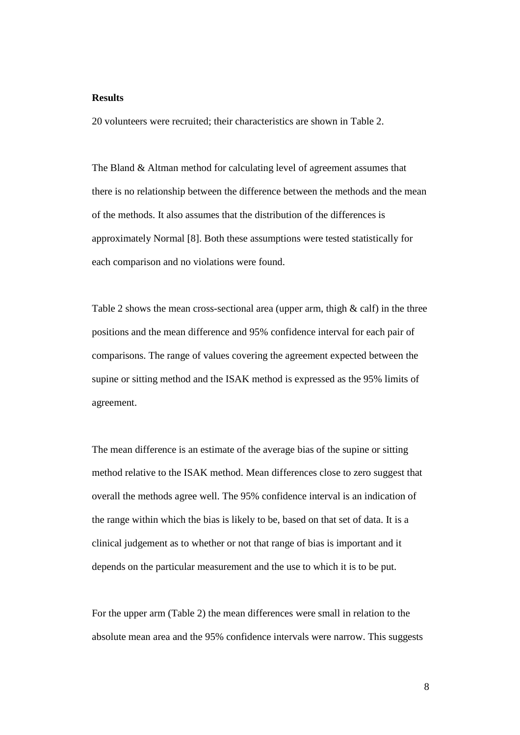#### **Results**

20 volunteers were recruited; their characteristics are shown in Table 2.

The Bland & Altman method for calculating level of agreement assumes that there is no relationship between the difference between the methods and the mean of the methods. It also assumes that the distribution of the differences is approximately Normal [8]. Both these assumptions were tested statistically for each comparison and no violations were found.

Table 2 shows the mean cross-sectional area (upper arm, thigh  $\&$  calf) in the three positions and the mean difference and 95% confidence interval for each pair of comparisons. The range of values covering the agreement expected between the supine or sitting method and the ISAK method is expressed as the 95% limits of agreement.

The mean difference is an estimate of the average bias of the supine or sitting method relative to the ISAK method. Mean differences close to zero suggest that overall the methods agree well. The 95% confidence interval is an indication of the range within which the bias is likely to be, based on that set of data. It is a clinical judgement as to whether or not that range of bias is important and it depends on the particular measurement and the use to which it is to be put.

For the upper arm (Table 2) the mean differences were small in relation to the absolute mean area and the 95% confidence intervals were narrow. This suggests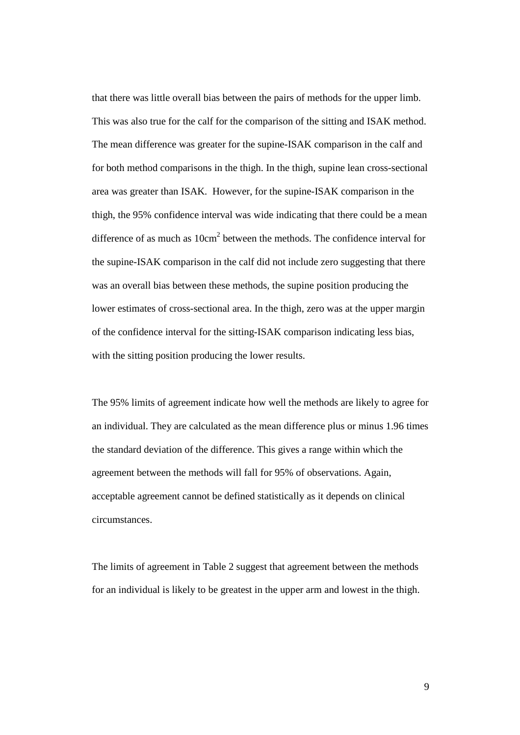that there was little overall bias between the pairs of methods for the upper limb. This was also true for the calf for the comparison of the sitting and ISAK method. The mean difference was greater for the supine-ISAK comparison in the calf and for both method comparisons in the thigh. In the thigh, supine lean cross-sectional area was greater than ISAK. However, for the supine-ISAK comparison in the thigh, the 95% confidence interval was wide indicating that there could be a mean difference of as much as  $10 \text{cm}^2$  between the methods. The confidence interval for the supine-ISAK comparison in the calf did not include zero suggesting that there was an overall bias between these methods, the supine position producing the lower estimates of cross-sectional area. In the thigh, zero was at the upper margin of the confidence interval for the sitting-ISAK comparison indicating less bias, with the sitting position producing the lower results.

The 95% limits of agreement indicate how well the methods are likely to agree for an individual. They are calculated as the mean difference plus or minus 1.96 times the standard deviation of the difference. This gives a range within which the agreement between the methods will fall for 95% of observations. Again, acceptable agreement cannot be defined statistically as it depends on clinical circumstances.

The limits of agreement in Table 2 suggest that agreement between the methods for an individual is likely to be greatest in the upper arm and lowest in the thigh.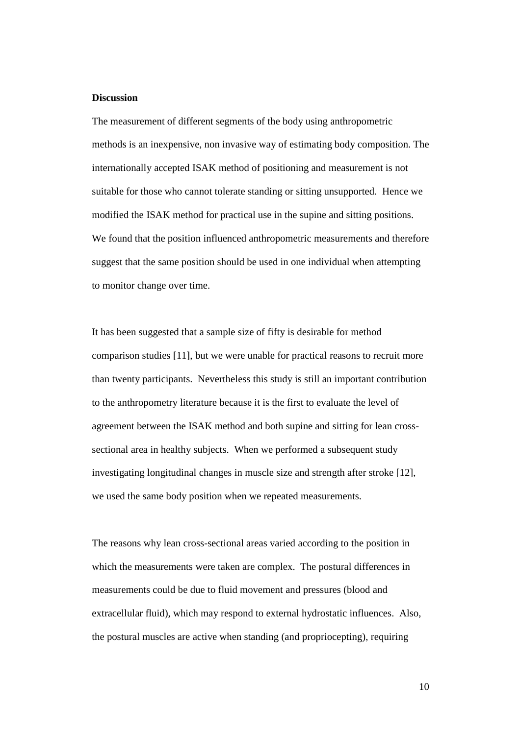#### **Discussion**

The measurement of different segments of the body using anthropometric methods is an inexpensive, non invasive way of estimating body composition. The internationally accepted ISAK method of positioning and measurement is not suitable for those who cannot tolerate standing or sitting unsupported. Hence we modified the ISAK method for practical use in the supine and sitting positions. We found that the position influenced anthropometric measurements and therefore suggest that the same position should be used in one individual when attempting to monitor change over time.

It has been suggested that a sample size of fifty is desirable for method comparison studies [11], but we were unable for practical reasons to recruit more than twenty participants. Nevertheless this study is still an important contribution to the anthropometry literature because it is the first to evaluate the level of agreement between the ISAK method and both supine and sitting for lean crosssectional area in healthy subjects. When we performed a subsequent study investigating longitudinal changes in muscle size and strength after stroke [12], we used the same body position when we repeated measurements.

The reasons why lean cross-sectional areas varied according to the position in which the measurements were taken are complex. The postural differences in measurements could be due to fluid movement and pressures (blood and extracellular fluid), which may respond to external hydrostatic influences. Also, the postural muscles are active when standing (and propriocepting), requiring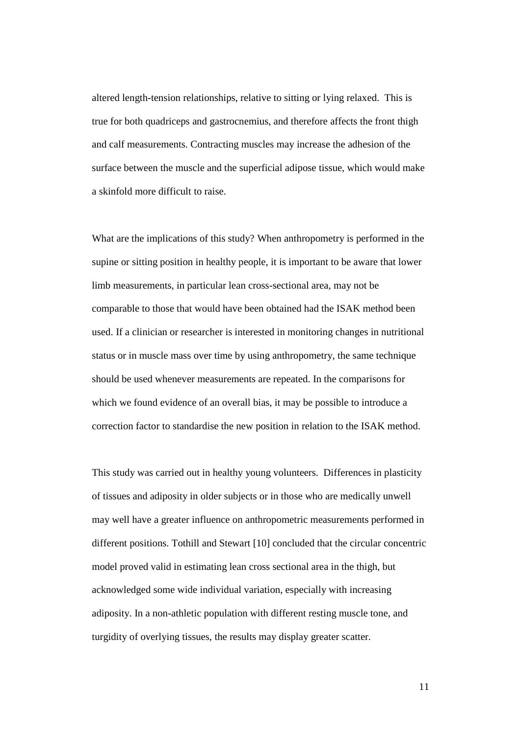altered length-tension relationships, relative to sitting or lying relaxed. This is true for both quadriceps and gastrocnemius, and therefore affects the front thigh and calf measurements. Contracting muscles may increase the adhesion of the surface between the muscle and the superficial adipose tissue, which would make a skinfold more difficult to raise.

What are the implications of this study? When anthropometry is performed in the supine or sitting position in healthy people, it is important to be aware that lower limb measurements, in particular lean cross-sectional area, may not be comparable to those that would have been obtained had the ISAK method been used. If a clinician or researcher is interested in monitoring changes in nutritional status or in muscle mass over time by using anthropometry, the same technique should be used whenever measurements are repeated. In the comparisons for which we found evidence of an overall bias, it may be possible to introduce a correction factor to standardise the new position in relation to the ISAK method.

This study was carried out in healthy young volunteers. Differences in plasticity of tissues and adiposity in older subjects or in those who are medically unwell may well have a greater influence on anthropometric measurements performed in different positions. Tothill and Stewart [10] concluded that the circular concentric model proved valid in estimating lean cross sectional area in the thigh, but acknowledged some wide individual variation, especially with increasing adiposity. In a non-athletic population with different resting muscle tone, and turgidity of overlying tissues, the results may display greater scatter.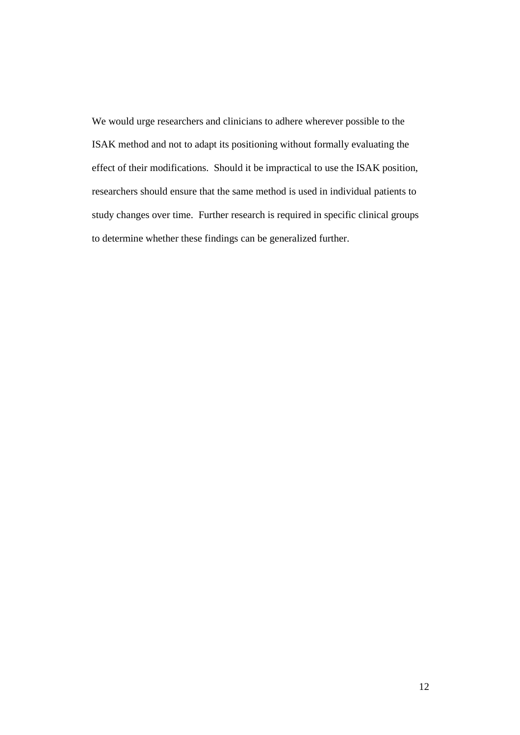We would urge researchers and clinicians to adhere wherever possible to the ISAK method and not to adapt its positioning without formally evaluating the effect of their modifications. Should it be impractical to use the ISAK position, researchers should ensure that the same method is used in individual patients to study changes over time. Further research is required in specific clinical groups to determine whether these findings can be generalized further.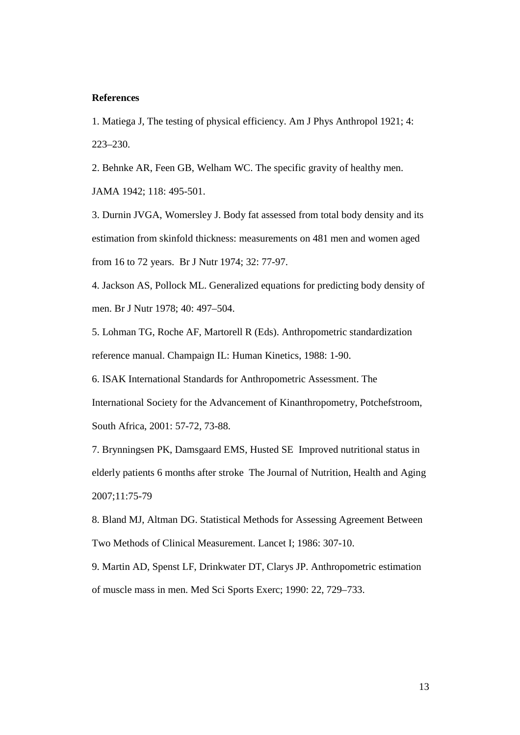#### **References**

1. Matiega J, The testing of physical efficiency. Am J Phys Anthropol 1921; 4: 223–230.

2. Behnke AR, Feen GB, Welham WC. The specific gravity of healthy men.

JAMA 1942; 118: 495-501.

3. Durnin JVGA, Womersley J. Body fat assessed from total body density and its estimation from skinfold thickness: measurements on 481 men and women aged from 16 to 72 years. Br J Nutr 1974; 32: 77-97.

4. Jackson AS, Pollock ML. Generalized equations for predicting body density of men. Br J Nutr 1978; 40: 497–504.

5. Lohman TG, Roche AF, Martorell R (Eds). Anthropometric standardization reference manual. Champaign IL: Human Kinetics, 1988: 1-90.

6. ISAK International Standards for Anthropometric Assessment. The International Society for the Advancement of Kinanthropometry, Potchefstroom, South Africa, 2001: 57-72, 73-88.

7. Brynningsen PK, Damsgaard EMS, Husted SE Improved nutritional status in elderly patients 6 months after stroke The Journal of Nutrition, Health and Aging 2007;11:75-79

8. Bland MJ, Altman DG. Statistical Methods for Assessing Agreement Between Two Methods of Clinical Measurement. Lancet I; 1986: 307-10.

9. Martin AD, Spenst LF, Drinkwater DT, Clarys JP. Anthropometric estimation of muscle mass in men. Med Sci Sports Exerc; 1990: 22, 729–733.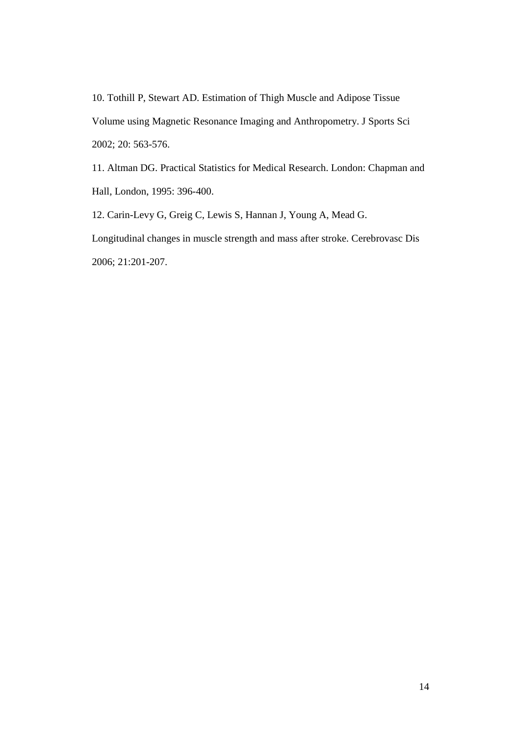10. Tothill P, Stewart AD. Estimation of Thigh Muscle and Adipose Tissue Volume using Magnetic Resonance Imaging and Anthropometry. J Sports Sci 2002; 20: 563-576.

11. Altman DG. Practical Statistics for Medical Research. London: Chapman and Hall, London, 1995: 396-400.

12. Carin-Levy G, Greig C, Lewis S, Hannan J, Young A, Mead G.

Longitudinal changes in muscle strength and mass after stroke. Cerebrovasc Dis 2006; 21:201-207.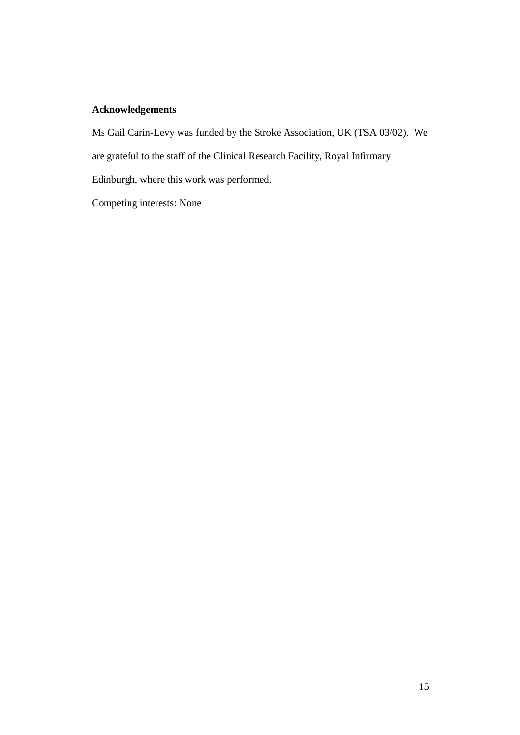### **Acknowledgements**

Ms Gail Carin-Levy was funded by the Stroke Association, UK (TSA 03/02). We

are grateful to the staff of the Clinical Research Facility, Royal Infirmary

Edinburgh, where this work was performed.

Competing interests: None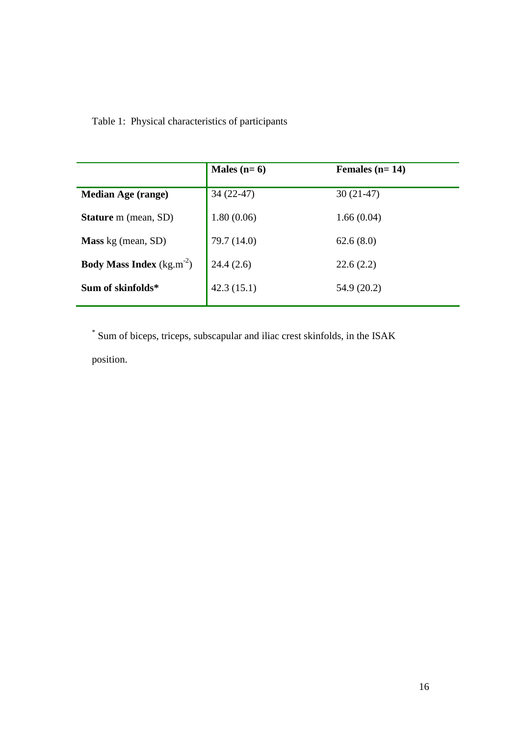Table 1: Physical characteristics of participants

|                                              | Males $(n=6)$ | Females $(n=14)$ |
|----------------------------------------------|---------------|------------------|
| <b>Median Age (range)</b>                    | $34(22-47)$   | $30(21-47)$      |
| <b>Stature</b> m (mean, SD)                  | 1.80(0.06)    | 1.66(0.04)       |
| <b>Mass</b> kg (mean, SD)                    | 79.7 (14.0)   | 62.6(8.0)        |
| <b>Body Mass Index</b> (kg.m <sup>-2</sup> ) | 24.4(2.6)     | 22.6(2.2)        |
| Sum of skinfolds*                            | 42.3(15.1)    | 54.9 (20.2)      |
|                                              |               |                  |

\* Sum of biceps, triceps, subscapular and iliac crest skinfolds, in the ISAK

position.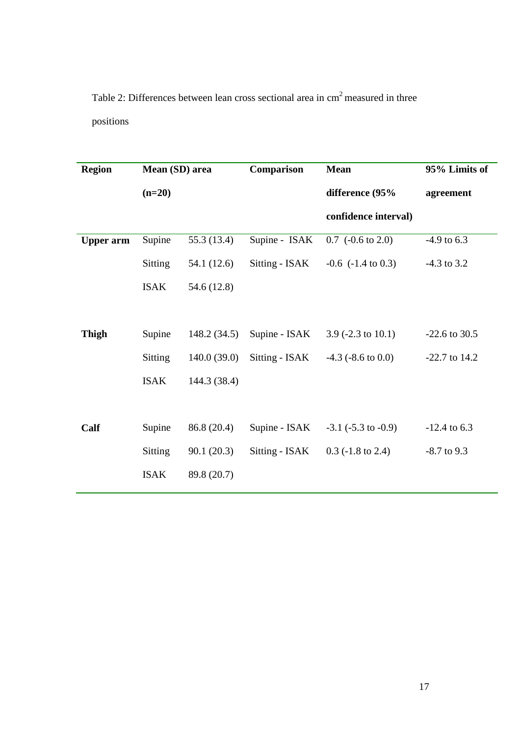Table 2: Differences between lean cross sectional area in cm<sup>2</sup> measured in three positions

| <b>Region</b>    | Mean (SD) area |              | Comparison     | <b>Mean</b>                     | 95% Limits of   |
|------------------|----------------|--------------|----------------|---------------------------------|-----------------|
|                  | $(n=20)$       |              |                | difference (95%                 | agreement       |
|                  |                |              |                | confidence interval)            |                 |
| <b>Upper arm</b> | Supine         | 55.3 (13.4)  | Supine - ISAK  | $0.7$ (-0.6 to 2.0)             | $-4.9$ to 6.3   |
|                  | Sitting        | 54.1 (12.6)  | Sitting - ISAK | $-0.6$ $(-1.4 \text{ to } 0.3)$ | $-4.3$ to 3.2   |
|                  | <b>ISAK</b>    | 54.6 (12.8)  |                |                                 |                 |
|                  |                |              |                |                                 |                 |
| <b>Thigh</b>     | Supine         | 148.2(34.5)  | Supine - ISAK  | 3.9 $(-2.3 \text{ to } 10.1)$   | $-22.6$ to 30.5 |
|                  | Sitting        | 140.0(39.0)  | Sitting - ISAK | $-4.3$ ( $-8.6$ to 0.0)         | $-22.7$ to 14.2 |
|                  | <b>ISAK</b>    | 144.3 (38.4) |                |                                 |                 |
|                  |                |              |                |                                 |                 |
| Calf             | Supine         | 86.8 (20.4)  | Supine - ISAK  | $-3.1$ ( $-5.3$ to $-0.9$ )     | $-12.4$ to 6.3  |
|                  | Sitting        | 90.1(20.3)   | Sitting - ISAK | $0.3$ (-1.8 to 2.4)             | $-8.7$ to 9.3   |
|                  | <b>ISAK</b>    | 89.8 (20.7)  |                |                                 |                 |
|                  |                |              |                |                                 |                 |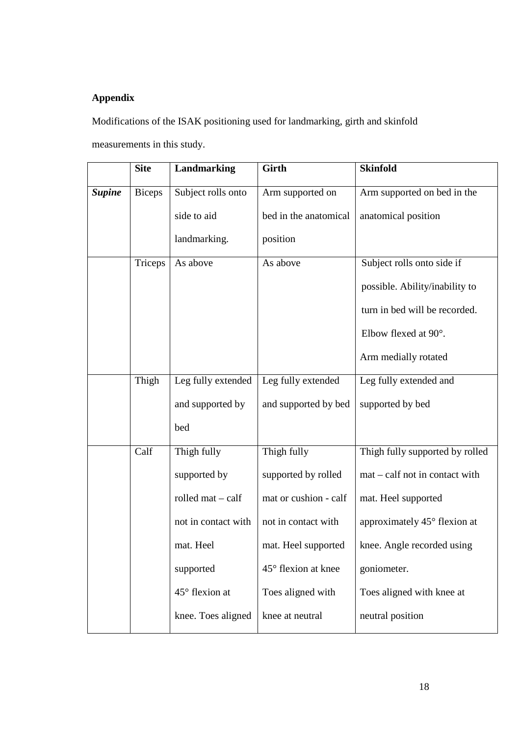## **Appendix**

Modifications of the ISAK positioning used for landmarking, girth and skinfold

measurements in this study.

|               | <b>Site</b>   | Landmarking                | <b>Girth</b>          | <b>Skinfold</b>                 |
|---------------|---------------|----------------------------|-----------------------|---------------------------------|
| <b>Supine</b> | <b>Biceps</b> | Subject rolls onto         | Arm supported on      | Arm supported on bed in the     |
|               |               | side to aid                | bed in the anatomical | anatomical position             |
|               |               | landmarking.               | position              |                                 |
|               | Triceps       | As above                   | As above              | Subject rolls onto side if      |
|               |               |                            |                       | possible. Ability/inability to  |
|               |               |                            |                       | turn in bed will be recorded.   |
|               |               |                            |                       | Elbow flexed at 90°.            |
|               |               |                            |                       | Arm medially rotated            |
|               | Thigh         | Leg fully extended         | Leg fully extended    | Leg fully extended and          |
|               |               | and supported by           | and supported by bed  | supported by bed                |
|               |               | bed                        |                       |                                 |
|               | Calf          | Thigh fully                | Thigh fully           | Thigh fully supported by rolled |
|               |               | supported by               | supported by rolled   | mat – calf not in contact with  |
|               |               | rolled $mat - \text{calf}$ | mat or cushion - calf | mat. Heel supported             |
|               |               | not in contact with        | not in contact with   | approximately 45° flexion at    |
|               |               | mat. Heel                  | mat. Heel supported   | knee. Angle recorded using      |
|               |               | supported                  | 45° flexion at knee   | goniometer.                     |
|               |               | 45° flexion at             | Toes aligned with     | Toes aligned with knee at       |
|               |               | knee. Toes aligned         | knee at neutral       | neutral position                |